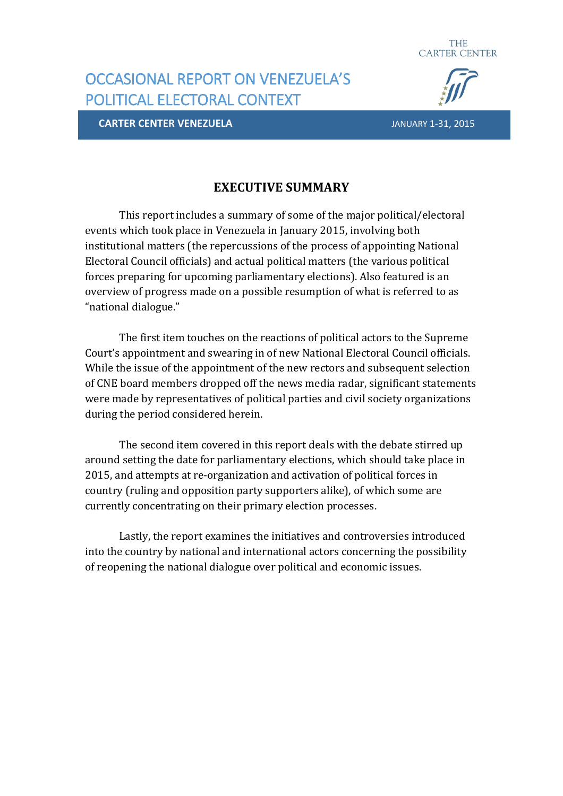

# OCCASIONAL REPORT ON VENEZUELA'S POLITICAL ELECTORAL CONTEXT

**CARTER CENTER VENEZUELA** JANUARY 1-31, 2015

### **EXECUTIVE SUMMARY**

This report includes a summary of some of the major political/electoral events which took place in Venezuela in January 2015, involving both institutional matters (the repercussions of the process of appointing National Electoral Council officials) and actual political matters (the various political forces preparing for upcoming parliamentary elections). Also featured is an overview of progress made on a possible resumption of what is referred to as "national dialogue."

The first item touches on the reactions of political actors to the Supreme Court's appointment and swearing in of new National Electoral Council officials. While the issue of the appointment of the new rectors and subsequent selection of CNE board members dropped off the news media radar, significant statements were made by representatives of political parties and civil society organizations during the period considered herein.

The second item covered in this report deals with the debate stirred up around setting the date for parliamentary elections, which should take place in 2015, and attempts at re-organization and activation of political forces in country (ruling and opposition party supporters alike), of which some are currently concentrating on their primary election processes.

Lastly, the report examines the initiatives and controversies introduced into the country by national and international actors concerning the possibility of reopening the national dialogue over political and economic issues.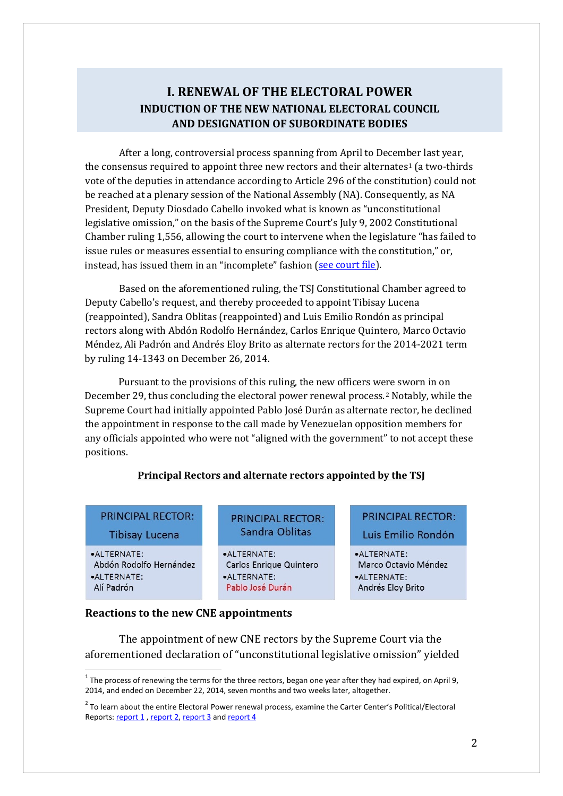### **I. RENEWAL OF THE ELECTORAL POWER INDUCTION OF THE NEW NATIONAL ELECTORAL COUNCIL AND DESIGNATION OF SUBORDINATE BODIES**

After a long, controversial process spanning from April to Decem[be](#page-1-0)r last year, the consensus required to appoint three new rectors and their alternates<sup>1</sup> (a two-thirds vote of the deputies in attendance according to Article 296 of the constitution) could not be reached at a plenary session of the National Assembly (NA). Consequently, as NA President, Deputy Diosdado Cabello invoked what is known as "unconstitutional legislative omission," on the basis of the Supreme Court's July 9, 2002 Constitutional Chamber ruling 1,556, allowing the court to intervene when the legislature "has failed to issue rules or measures essential to ensuring compliance with the constitution," or, instead, has issued them in an "incomplete" fashion (see [court](http://historico.tsj.gov.ve/decisiones/scon/diciembre/173497-1865-261214-2014-14-1343.HTML) file).

Based on the aforementioned ruling, the TSJ Constitutional Chamber agreed to Deputy Cabello's request, and thereby proceeded to appoint Tibisay Lucena (reappointed), Sandra Oblitas (reappointed) and Luis Emilio Rondón as principal rectors along with Abdón Rodolfo Hernández, Carlos Enrique Quintero, Marco Octavio Méndez, Ali Padrón and Andrés Eloy Brito as alternate rectors for the 2014-2021 term by ruling 14-1343 on December 26, 2014.

Pursuant to the provisions of this ruling, the new officers were sworn in on December 29, thus concluding the electoral power renewal process.[2](#page-1-1) Notably, while the Supreme Court had initially appointed Pablo José Durán as alternate rector, he declined the appointment in response to the call made by Venezuelan opposition members for any officials appointed who were not "aligned with the government" to not accept these positions.

#### **Principal Rectors and alternate rectors appointed by the TSJ**

| <b>PRINCIPAL RECTOR:</b> |  |  |
|--------------------------|--|--|
|                          |  |  |

**Tibisay Lucena** 

•ALTERNATE: Abdón Rodolfo Hernández ·ALTERNATE:

Alí Padrón

- **PRINCIPAL RECTOR:** Sandra Oblitas
- ALTERNATE: Carlos Enrique Quintero  $\bullet$  AI TERNATE: Pablo José Durán

### **PRINCIPAL RECTOR:** Luis Emilio Rondón

•ALTERNATE: Marco Octavio Méndez **•ALTERNATE:** Andrés Eloy Brito

#### **Reactions to the new CNE appointments**

The appointment of new CNE rectors by the Supreme Court via the aforementioned declaration of "unconstitutional legislative omission" yielded

<span id="page-1-0"></span><sup>&</sup>lt;sup>1</sup> The process of renewing the terms for the three rectors, began one year after they had expired, on April 9, 2014, and ended on December 22, 2014, seven months and two weeks later, altogether.

<span id="page-1-1"></span><sup>&</sup>lt;sup>2</sup> To learn about the entire Electoral Power renewal process, examine the Carter Center's Political/Electoral Reports: [report 1](http://www.cartercenter.org/resources/pdfs/news/peace_publications/americas/informe-de-seguimiento-final-en.pdf), [report 2,](http://www.cartercenter.org/resources/pdfs/news/peace_publications/americas/informe-de-seguimiento-sep-oct2014-espanol.pdf) [report 3](http://www.cartercenter.org/resources/pdfs/news/peace_publications/americas/informe-de-seguimiento-nov2014-sp.pdf) and [report 4](http://www.cartercenter.org/resources/pdfs/news/peace_publications/americas/informe-de-seguimiento-dec2014-en.pdf)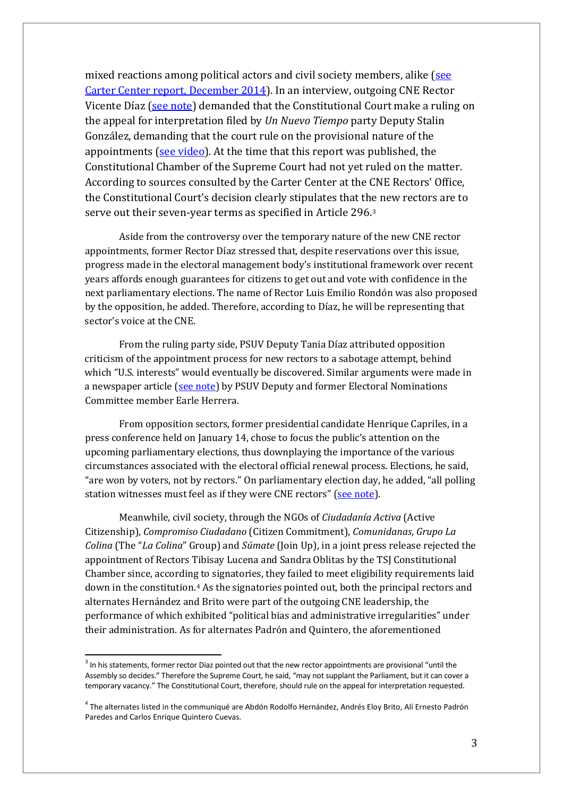mixed reactions among political actors and civil society members, alike [\(see](http://www.cartercenter.org/resources/pdfs/news/peace_publications/americas/informe-de-seguimiento-dec2014-en.pdf) Carter Center report, [December](http://www.cartercenter.org/resources/pdfs/news/peace_publications/americas/informe-de-seguimiento-dec2014-en.pdf) 2014). In an interview, outgoing CNE Rector Vicente Díaz (see [note\)](http://www.el-nacional.com/politica/peligroso-genere-locura-abstencionista_0_548945285.html) demanded that the Constitutional Court make a ruling on the appeal for interpretation filed by *Un Nuevo Tiempo* party Deputy Stalin González, demanding that the court rule on the provisional nature of the appointments (see [video\)](https://www.youtube.com/watch?v=tb6ov6c2Vp0). At the time that this report was published, the Constitutional Chamber of the Supreme Court had not yet ruled on the matter. According to sources consulted by the Carter Center at the CNE Rectors' Office, the Constitutional Court's decision clearly stipulates that th[e](#page-2-0) new rectors are to serve out their seven-year terms as specified in Article 296.3

Aside from the controversy over the temporary nature of the new CNE rector appointments, former Rector Díaz stressed that, despite reservations over this issue, progress made in the electoral management body's institutional framework over recent years affords enough guarantees for citizens to get out and vote with confidence in the next parliamentary elections. The name of Rector Luis Emilio Rondón was also proposed by the opposition, he added. Therefore, according to Díaz, he will be representing that sector's voice at the CNE.

From the ruling party side, PSUV Deputy Tania Díaz attributed opposition criticism of the appointment process for new rectors to a sabotage attempt, behind which "U.S. interests" would eventually be discovered. Similar arguments were made in a newspaper article (see [note\)](http://www.ultimasnoticias.com.ve/opinion/firmas/earle-herrera/el-telefonito.aspx) by PSUV Deputy and former Electoral Nominations Committee member Earle Herrera.

From opposition sectors, former presidential candidate Henrique Capriles, in a press conference held on January 14, chose to focus the public's attention on the upcoming parliamentary elections, thus downplaying the importance of the various circumstances associated with the electoral official renewal process. Elections, he said, "are won by voters, not by rectors." On parliamentary election day, he added, "all polling station witnesses must feel as if they were CNE rectors" (see [note\)](http://www.lapatilla.com/site/2015/01/14/capriles-o-esto-cambia-o-se-revienta/).

Meanwhile, civil society, through the NGOs of *Ciudadanía Activa* (Active Citizenship), *Compromiso Ciudadano* (Citizen Commitment), *Comunidanas*, *Grupo La Colina* (The "*La Colina*" Group) and *Súmate* (Join Up), in a joint press release rejected the appointment of Rectors Tibisay Lucena and Sandra Oblitas by the TSJ Constitutional Chamber since, according to signatories, they failed to meet eligibility requirements laid down in the constitution.[4](#page-2-1) As the signatories pointed out, both the principal rectors and alternates Hernández and Brito were part of the outgoing CNE leadership, the performance of which exhibited "political bias and administrative irregularities" under their administration. As for alternates Padrón and Quintero, the aforementioned

<span id="page-2-0"></span> $3$  In his statements, former rector Diaz pointed out that the new rector appointments are provisional "until the Assembly so decides." Therefore the Supreme Court, he said, "may not supplant the Parliament, but it can cover a temporary vacancy." The Constitutional Court, therefore, should rule on the appeal for interpretation requested.

<span id="page-2-1"></span><sup>4</sup> The alternates listed in the communiqué are Abdón Rodolfo Hernández, Andrés Eloy Brito, Alí Ernesto Padrón Paredes and Carlos Enrique Quintero Cuevas.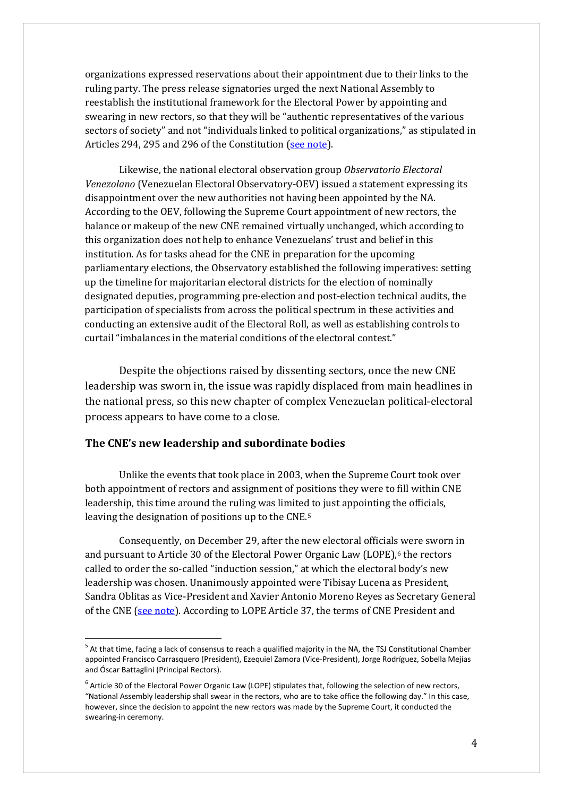organizations expressed reservations about their appointment due to their links to the ruling party. The press release signatories urged the next National Assembly to reestablish the institutional framework for the Electoral Power by appointing and swearing in new rectors, so that they will be "authentic representatives of the various sectors of society" and not "individuals linked to political organizations," as stipulated in Articles 294, 295 and 296 of the Constitution (see [note\)](http://dnsw.sumate.org/noticias/2014/281214_PROXIMA_ASAMBLEA_NACIONAL_DEBERA_DEVOLVERLE_LA_INDEPENDENCIA_AL_PODER_ELECTORAL.htm).

Likewise, the national electoral observation group *Observatorio Electoral Venezolano* (Venezuelan Electoral Observatory-OEV) issued a statement expressing its disappointment over the new authorities not having been appointed by the NA. According to the OEV, following the Supreme Court appointment of new rectors, the balance or makeup of the new CNE remained virtually unchanged, which according to this organization does not help to enhance Venezuelans' trust and belief in this institution. As for tasks ahead for the CNE in preparation for the upcoming parliamentary elections, the Observatory established the following imperatives: setting up the timeline for majoritarian electoral districts for the election of nominally designated deputies, programming pre-election and post-election technical audits, the participation of specialists from across the political spectrum in these activities and conducting an extensive audit of the Electoral Roll, as well as establishing controls to curtail "imbalances in the material conditions of the electoral contest."

Despite the objections raised by dissenting sectors, once the new CNE leadership was sworn in, the issue was rapidly displaced from main headlines in the national press, so this new chapter of complex Venezuelan political-electoral process appears to have come to a close.

#### **The CNE's new leadership and subordinate bodies**

Unlike the events that took place in 2003, when the Supreme Court took over both appointment of rectors and assignment of positions they were to fill within CNE leadership, this time around the ruling was limited to just appointing the officials, leaving the designation of positions up to the CNE.[5](#page-3-0)

Consequently, on December 29, after the new electoral officials were sworn in and pursuant to Article 30 of the Electoral Power Organic Law (LOPE),<sup>[6](#page-3-1)</sup> the rectors called to order the so-called "induction session," at which the electoral body's new leadership was chosen. Unanimously appointed were Tibisay Lucena as President, Sandra Oblitas as Vice-President and Xavier Antonio Moreno Reyes as Secretary General of the CNE (see [note\)](http://www.elmundo.com.ve/noticias/actualidad/noticias/lucena-ratificada-por-unanimidad-como-presidenta-d.aspx). According to LOPE Article 37, the terms of CNE President and

<span id="page-3-0"></span> $5$  At that time, facing a lack of consensus to reach a qualified majority in the NA, the TSJ Constitutional Chamber appointed Francisco Carrasquero (President), Ezequiel Zamora (Vice-President), Jorge Rodríguez, Sobella Mejías and Óscar Battaglini (Principal Rectors).

<span id="page-3-1"></span> $6$  Article 30 of the Electoral Power Organic Law (LOPE) stipulates that, following the selection of new rectors, "National Assembly leadership shall swear in the rectors, who are to take office the following day." In this case, however, since the decision to appoint the new rectors was made by the Supreme Court, it conducted the swearing-in ceremony.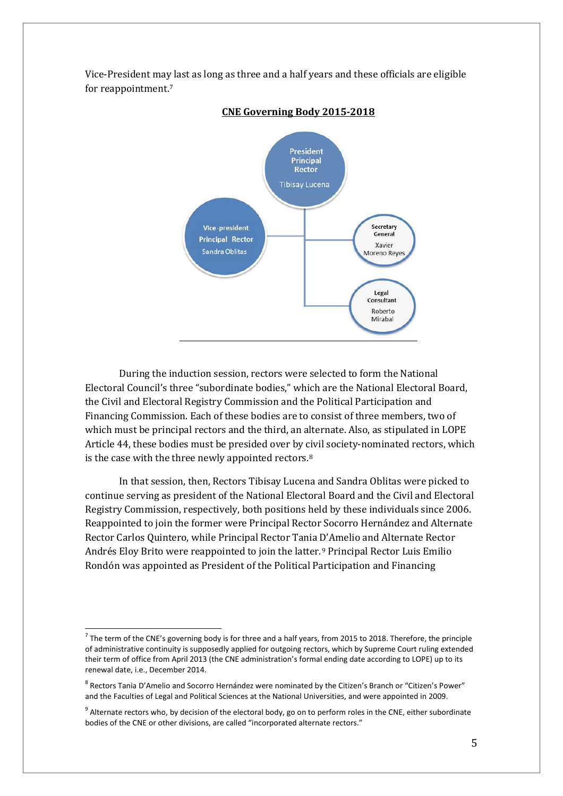

Vice-President may last as long as three and a half years and these officials are eligible for reappointment.[7](#page-4-0)

**CNE Governing Body 2015-2018**

During the induction session, rectors were selected to form the National Electoral Council's three "subordinate bodies," which are the National Electoral Board, the Civil and Electoral Registry Commission and the Political Participation and Financing Commission. Each of these bodies are to consist of three members, two of which must be principal rectors and the third, an alternate. Also, as stipulated in LOPE Article 44, these bodies must be presided over by [ci](#page-4-1)vil society-nominated rectors, which is the case with the three newly appointed rectors.8

In that session, then, Rectors Tibisay Lucena and Sandra Oblitas were picked to continue serving as president of the National Electoral Board and the Civil and Electoral Registry Commission, respectively, both positions held by these individuals since 2006. Reappointed to join the former were Principal Rector Socorro Hernández and Alternate Rector Carlos Quintero, while Principal Rector Tania D'Amelio and Alternate Rector Andrés Eloy Brito were reappointed to join the latter.[9](#page-4-2) Principal Rector Luis Emilio Rondón was appointed as President of the Political Participation and Financing

<span id="page-4-0"></span> $7$  The term of the CNE's governing body is for three and a half years, from 2015 to 2018. Therefore, the principle of administrative continuity is supposedly applied for outgoing rectors, which by Supreme Court ruling extended their term of office from April 2013 (the CNE administration's formal ending date according to LOPE) up to its renewal date, i.e., December 2014.

<span id="page-4-1"></span><sup>&</sup>lt;sup>8</sup> Rectors Tania D'Amelio and Socorro Hernández were nominated by the Citizen's Branch or "Citizen's Power" and the Faculties of Legal and Political Sciences at the National Universities, and were appointed in 2009.

<span id="page-4-2"></span> $9$  Alternate rectors who, by decision of the electoral body, go on to perform roles in the CNE, either subordinate bodies of the CNE or other divisions, are called "incorporated alternate rectors."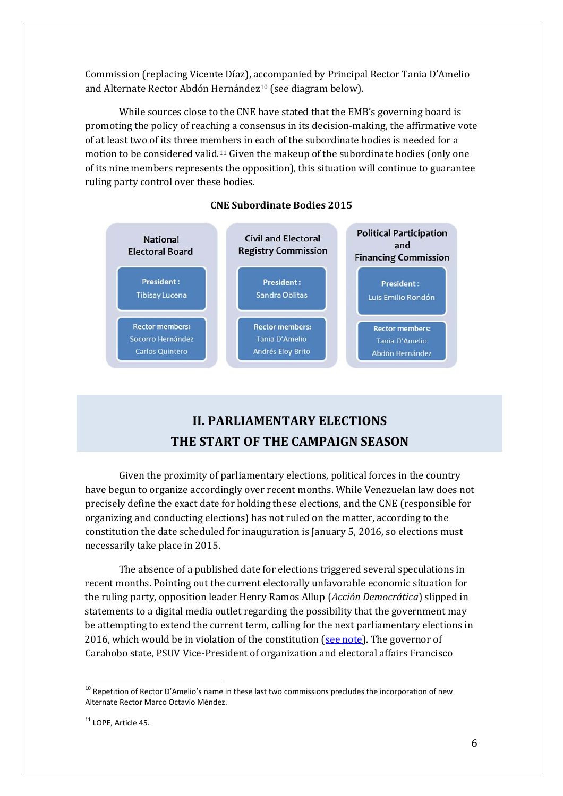Commission (replacing Vicente Díaz), accompanied by Principal Rector Tania D'Amelio and Alternate Rector Abdón Hernández<sup>[10](#page-5-0)</sup> (see diagram below).

While sources close to the CNE have stated that the EMB's governing board is promoting the policy of reaching a consensus in its decision-making, the affirmative vote of at least two of its three members in each of the subordinate bodies is needed for a motion to be considered valid.[11](#page-5-1) Given the makeup of the subordinate bodies (only one of its nine members represents the opposition), this situation will continue to guarantee ruling party control over these bodies.



### **CNE Subordinate Bodies 2015**

## **II. PARLIAMENTARY ELECTIONS THE START OF THE CAMPAIGN SEASON**

Given the proximity of parliamentary elections, political forces in the country have begun to organize accordingly over recent months. While Venezuelan law does not precisely define the exact date for holding these elections, and the CNE (responsible for organizing and conducting elections) has not ruled on the matter, according to the constitution the date scheduled for inauguration is January 5, 2016, so elections must necessarily take place in 2015.

The absence of a published date for elections triggered several speculations in recent months. Pointing out the current electorally unfavorable economic situation for the ruling party, opposition leader Henry Ramos Allup (*Acción Democrática*) slipped in statements to a digital media outlet regarding the possibility that the government may be attempting to extend the current term, calling for the next parliamentary elections in 2016, which would be in violation of the constitution  $\frac{\text{see note}}{\text{Note:}}$ . The governor of Carabobo state, PSUV Vice-President of organization and electoral affairs Francisco

<span id="page-5-0"></span><sup>&</sup>lt;sup>10</sup> Repetition of Rector D'Amelio's name in these last two commissions precludes the incorporation of new Alternate Rector Marco Octavio Méndez.

<span id="page-5-1"></span><sup>&</sup>lt;sup>11</sup> LOPE, Article 45.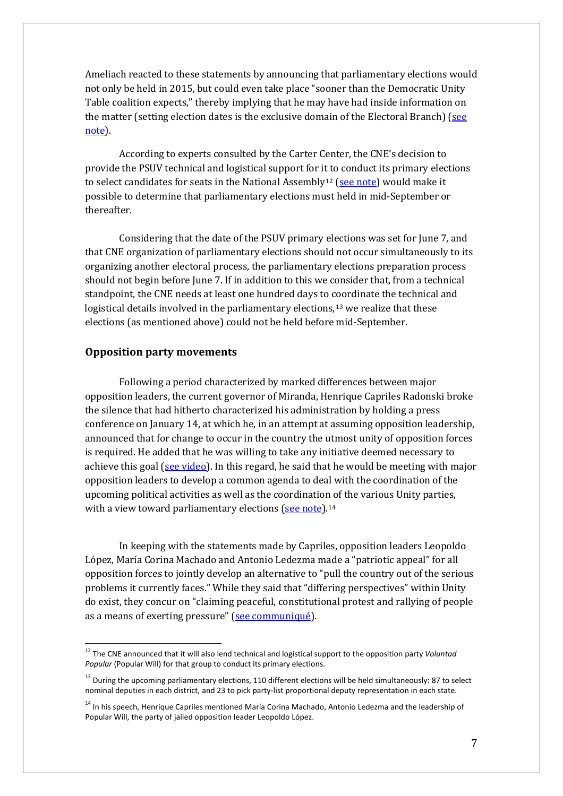Ameliach reacted to these statements by announcing that parliamentary elections would not only be held in 2015, but could even take place "sooner than the Democratic Unity Table coalition expects," thereby implying that he may have had inside information on the matter (setting election dates is the exclusive domain of the Electoral Branch) ( $\frac{\text{see}}{\text{Set}}$ [note\)](http://www.notitarde.com/Valencia/-Elecciones-de-AN-seran-en-2015-antes-de-lo-que-piensa-la-MUD-2332590/2015/01/25/486721/).

According to experts consulted by the Carter Center, the CNE's decision to provide the PSUV technical and logistical support for it to conduct its primary elections to select candidates for seats in the National Assembly<sup>[12](#page-6-0)</sup> (see [note\)](http://cne.gov.ve/web/sala_prensa/noticia_detallada.php?id=3306) would make it possible to determine that parliamentary elections must held in mid-September or thereafter.

Considering that the date of the PSUV primary elections was set for June 7, and that CNE organization of parliamentary elections should not occur simultaneously to its organizing another electoral process, the parliamentary elections preparation process should not begin before June 7. If in addition to this we consider that, from a technical standpoint, the CNE needs at least one hundred days to [coo](#page-6-1)rdinate the technical and logistical details involved in the parliamentary elections,<sup>13</sup> we realize that these elections (as mentioned above) could not be held before mid-September.

#### **Opposition party movements**

Following a period characterized by marked differences between major opposition leaders, the current governor of Miranda, Henrique Capriles Radonski broke the silence that had hitherto characterized his administration by holding a press conference on January 14, at which he, in an attempt at assuming opposition leadership, announced that for change to occur in the country the utmost unity of opposition forces is required. He added that he was willing to take any initiative deemed necessary to achieve this goal (see [video\)](http://prodavinci.com/2015/01/14/actualidad/video-aca-puede-ver-la-rueda-de-prensa-de-henrique-capriles-radonski/). In this regard, he said that he would be meeting with major opposition leaders to develop a common agenda to deal with the coordination of the upcoming political activities as well as the coordination of the various Unity parties, with a view toward parliamentary elections (see [note\)](http://prodavinci.com/2015/01/14/actualidad/las-10-claves-mas-importantes-de-la-rueda-de-prensa-de-henrique-capriles-radonski-monitorprodavinci/).<sup>[14](#page-6-2)</sup>

In keeping with the statements made by Capriles, opposition leaders Leopoldo López, María Corina Machado and Antonio Ledezma made a "patriotic appeal" for all opposition forces to jointly develop an alternative to "pull the country out of the serious problems it currently faces." While they said that "differing perspectives" within Unity do exist, they concur on "claiming peaceful, constitutional protest and rallying of people as a means of exerting pressure" (see [communiqué\)](http://prodavinci.com/2015/01/15/actualidad/lea-el-comunicado-de-leopoldo-lopez-maria-corina-machado-y-antonio-ledezma-monitorprodavinci/).

<span id="page-6-0"></span><sup>12</sup> The CNE announced that it will also lend technical and logistical support to the opposition party *Voluntad Popular* (Popular Will) for that group to conduct its primary elections.

<span id="page-6-1"></span><sup>&</sup>lt;sup>13</sup> During the upcoming parliamentary elections, 110 different elections will be held simultaneously: 87 to select nominal deputies in each district, and 23 to pick party-list proportional deputy representation in each state.

<span id="page-6-2"></span><sup>&</sup>lt;sup>14</sup> In his speech, Henrique Capriles mentioned María Corina Machado, Antonio Ledezma and the leadership of Popular Will, the party of jailed opposition leader Leopoldo López.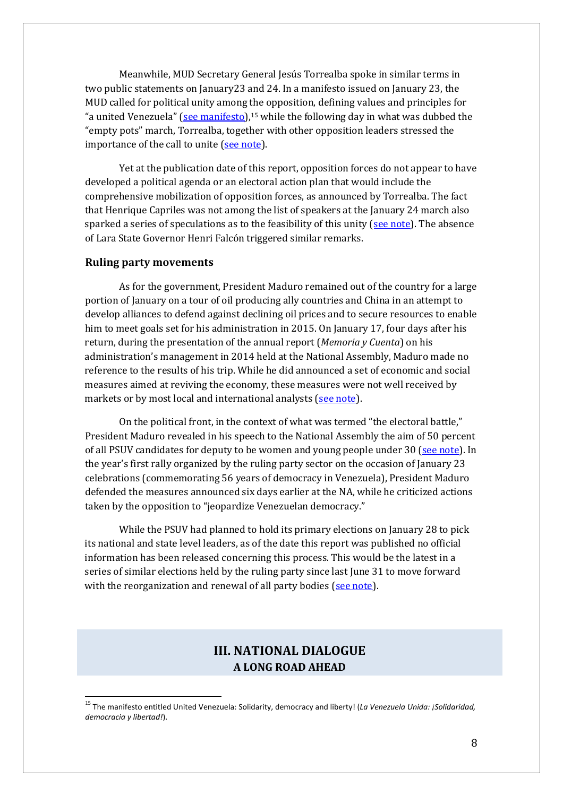Meanwhile, MUD Secretary General Jesús Torrealba spoke in similar terms in two public statements on January23 and 24. In a manifesto issued on January 23, the MUD called for political unity among the opposition, defining values and principles for "a united Venezuela" (see [manifesto\)](http://www.unidadvenezuela.org/wp-content/uploads/2015/01/Documento-230115-MUD.pdf),<sup>15</sup> while the following day in what was dubbed the "empty pots" march, Torrealba, together with other opposition leaders stressed the importance of the call to unite (see [note\)](http://www.noticias24.com/venezuela/noticia/271610/muy-poca-gente-asistio-la-marcha-opositora-de-hoy/).

Yet at the publication date of this report, opposition forces do not appear to have developed a political agenda or an electoral action plan that would include the comprehensive mobilization of opposition forces, as announced by Torrealba. The fact that Henrique Capriles was not among the list of speakers at the January 24 march also sparked a series of speculations as to the feasibility of this unity (see [note\)](http://www.el-nacional.com/politica/Oposicion-marcho-poca-convocatoria_0_562143858.html). The absence of Lara State Governor Henri Falcón triggered similar remarks.

#### **Ruling party movements**

As for the government, President Maduro remained out of the country for a large portion of January on a tour of oil producing ally countries and China in an attempt to develop alliances to defend against declining oil prices and to secure resources to enable him to meet goals set for his administration in 2015. On January 17, four days after his return, during the presentation of the annual report (*Memoria y Cuenta*) on his administration's management in 2014 held at the National Assembly, Maduro made no reference to the results of his trip. While he did announced a set of economic and social measures aimed at reviving the economy, these measures were not well received by markets or by most local and international analysts (see [note\)](http://runrun.es/rr-es-plus/182034/las-medidas-economicas-que-maduro-se-atreve-tomar-por-roberto-deniz.html).

On the political front, in the context of what was termed "the electoral battle," President Maduro revealed in his speech to the National Assembly the aim of 50 percent of all PSUV candidates for deputy to be women and young people under 30 (see [note\)](http://www.el-nacional.com/politica/Ameliach-Primarias-PSUV-candidatos-AN_0_560344045.html). In the year's first rally organized by the ruling party sector on the occasion of January 23 celebrations (commemorating 56 years of democracy in Venezuela), President Maduro defended the measures announced six days earlier at the NA, while he criticized actions taken by the opposition to "jeopardize Venezuelan democracy."

While the PSUV had planned to hold its primary elections on January 28 to pick its national and state level leaders, as of the date this report was published no official information has been released concerning this process. This would be the latest in a series of similar elections held by the ruling party since last June 31 to move forward with the reorganization and renewal of all party bodies (see [note\)](http://www.ultimasnoticias.com.ve/noticias/actualidad/politica/psuv-preve-renovar-su-direccion-nacional-el-28-de-.aspx).

### **III. NATIONAL DIALOGUE A LONG ROAD AHEAD**

<span id="page-7-0"></span><sup>15</sup> The manifesto entitled United Venezuela: Solidarity, democracy and liberty! (*La Venezuela Unida: ¡Solidaridad, democracia y libertad!*).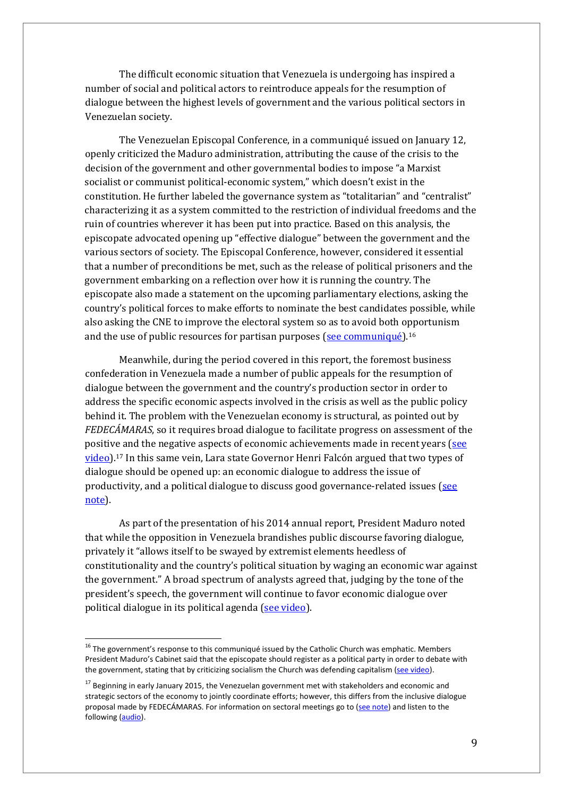The difficult economic situation that Venezuela is undergoing has inspired a number of social and political actors to reintroduce appeals for the resumption of dialogue between the highest levels of government and the various political sectors in Venezuelan society.

The Venezuelan Episcopal Conference, in a communiqué issued on January 12, openly criticized the Maduro administration, attributing the cause of the crisis to the decision of the government and other governmental bodies to impose "a Marxist socialist or communist political-economic system," which doesn't exist in the constitution. He further labeled the governance system as "totalitarian" and "centralist" characterizing it as a system committed to the restriction of individual freedoms and the ruin of countries wherever it has been put into practice. Based on this analysis, the episcopate advocated opening up "effective dialogue" between the government and the various sectors of society. The Episcopal Conference, however, considered it essential that a number of preconditions be met, such as the release of political prisoners and the government embarking on a reflection over how it is running the country. The episcopate also made a statement on the upcoming parliamentary elections, asking the country's political forces to make efforts to nominate the best candidates possible, while also asking the CNE to improve the electoral system so as to avoid both o[pp](#page-8-0)ortunism and the use of public resources for partisan purposes (see [communiqué\)](http://prodavinci.com/2015/01/13/actualidad/conferencia-episcopal-venezolana-se-pronuncia-sobre-la-situacion-del-pais-monitorprodavinci/).<sup>16</sup>

Meanwhile, during the period covered in this report, the foremost business confederation in Venezuela made a number of public appeals for the resumption of dialogue between the government and the country's production sector in order to address the specific economic aspects involved in the crisis as well as the public policy behind it. The problem with the Venezuelan economy is structural, as pointed out by *FEDECÁMARAS*, so it requires broad dialogue to facilitate progress on assessment of the positive and the negative aspects of economic achievements made in recent years [\(see](http://www.ultimasnoticias.com.ve/noticias/actualidad/economia/roig-las-colas-son-inherentes-al-modelo-economico.aspx) [video\)](http://www.ultimasnoticias.com.ve/noticias/actualidad/economia/roig-las-colas-son-inherentes-al-modelo-economico.aspx).[17](#page-8-1) In this same vein, Lara state Governor Henri Falcón argued that two types of dialogue should be opened up: an economic dialogue to address the issue of productivity, and a political dialogue to discuss good governance-related issues [\(see](http://www.noticias24.com/venezuela/noticia/270392/pide-al-gobierno-anunciar-las-medidas-economicas-para-corregir-las-distorsiones-y-garantizar-la-produccion/) [note\)](http://www.noticias24.com/venezuela/noticia/270392/pide-al-gobierno-anunciar-las-medidas-economicas-para-corregir-las-distorsiones-y-garantizar-la-produccion/).

As part of the presentation of his 2014 annual report, President Maduro noted that while the opposition in Venezuela brandishes public discourse favoring dialogue, privately it "allows itself to be swayed by extremist elements heedless of constitutionality and the country's political situation by waging an economic war against the government." A broad spectrum of analysts agreed that, judging by the tone of the president's speech, the government will continue to favor economic dialogue over political dialogue in its political agenda (see [video\)](https://www.youtube.com/watch?v=Foa1W8AQMp4).

<span id="page-8-0"></span> $16$  The government's response to this communiqué issued by the Catholic Church was emphatic. Members President Maduro's Cabinet said that the episcopate should register as a political party in order to debate with the government, stating that by criticizing socialism the Church was defending capitalism (see [video\)](https://www.youtube.com/watch?v=KKzFVReE9iI).

<span id="page-8-1"></span><sup>&</sup>lt;sup>17</sup> Beginning in early January 2015, the Venezuelan government met with stakeholders and economic and strategic sectors of the economy to jointly coordinate efforts; however, this differs from the inclusive dialogue proposal made by FEDECÁMARAS. For information on sectoral meetings go to (see [note\)](http://prensa-latina.cu/index.php?option=com_content&task=view&id=3422151&Itemid=1) and listen to the following [\(audio\)](http://www.rnv.gob.ve/index.php/gobierno-industrializara-produccion-automotriz-venezolana-audio).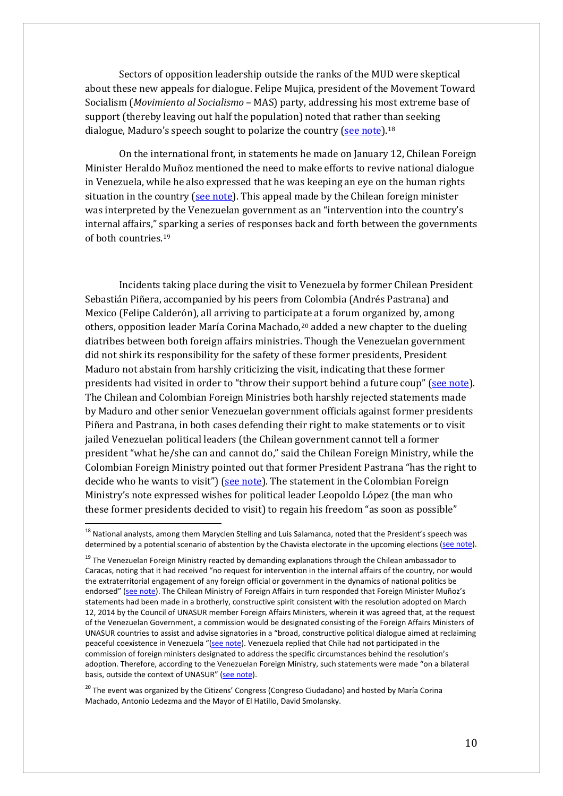Sectors of opposition leadership outside the ranks of the MUD were skeptical about these new appeals for dialogue. Felipe Mujica, president of the Movement Toward Socialism (*Movimiento al Socialismo* – MAS) party, addressing his most extreme base of support (thereby leaving out half the population) noted that rather than seeking dialogue, Maduro's speech sought to polarize the country (see [note\)](http://www.eluniversal.com/nacional-y-politica/150122/mujica-maduro-volvio-a-polarizar-y-dejo-por-fuera-la-mitad-del-pais).<sup>[18](#page-9-0)</sup>

On the international front, in statements he made on January 12, Chilean Foreign Minister Heraldo Muñoz mentioned the need to make efforts to revive national dialogue in Venezuela, while he also expressed that he was keeping an eye on the human rights situation in the country (see note). This appeal made by the Chilean foreign minister was interpreted by the Venezuelan government as an "intervention into the country's internal affairs," sparking a series of responses back and forth between the governments of both countries.[19](#page-9-1)

Incidents taking place during the visit to Venezuela by former Chilean President Sebastián Piñera, accompanied by his peers from Colombia (Andrés Pastrana) and Mexico (Felipe Calderón), all arriving to participate at a forum organized by, among others, opposition leader María Corina Machado,[20](#page-9-2) added a new chapter to the dueling diatribes between both foreign affairs ministries. Though the Venezuelan government did not shirk its responsibility for the safety of these former presidents, President Maduro not abstain from harshly criticizing the visit, indicating that these former presidents had visited in order to "throw their support behind a future coup" (see [note\)](http://albaciudad.org/wp/index.php/2015/01/maduro-a-expresidentes-pinera-calderon-y-pastrana-vienen-a-apoyar-un-golpe-de-estado-video/). The Chilean and Colombian Foreign Ministries both harshly rejected statements made by Maduro and other senior Venezuelan government officials against former presidents Piñera and Pastrana, in both cases defending their right to make statements or to visit jailed Venezuelan political leaders (the Chilean government cannot tell a former president "what he/she can and cannot do," said the Chilean Foreign Ministry, while the Colombian Foreign Ministry pointed out that former President Pastrana "has the right to decide who he wants to visit") (see [note\)](http://www.laestrelladeloriente.com/index.php/noticias/todas-las-categorias/internacional/item/18140-gobierno-chileno-apoya-visita-de-expresidente-pinera-a-opositores-venezolanos). The statement in the Colombian Foreign Ministry's note expressed wishes for political leader Leopoldo López (the man who these former presidents decided to visit) to regain his freedom "as soon as possible"

<span id="page-9-0"></span><sup>&</sup>lt;sup>18</sup> National analysts, among them Maryclen Stelling and Luis Salamanca, noted that the President's speech was determined by a potential scenario of abstention by the Chavista electorate in the upcoming elections (see [note\)](http://www.eluniversal.com/nacional-y-politica/150122/discurso-presidencial-estuvo-condicionado-por-un-escenario-abstencioni).

<span id="page-9-1"></span><sup>&</sup>lt;sup>19</sup> The Venezuelan Foreign Ministry reacted by demanding explanations through the Chilean ambassador to Caracas, noting that it had received "no request for intervention in the internal affairs of the country, nor would the extraterritorial engagement of any foreign official or government in the dynamics of national politics be endorsed" (see [note\)](http://www.correodelorinoco.gob.ve/politica/venezuela-rechaza-declaraciones-canciller-republica-chile-heraldo-munoz/). The Chilean Ministry of Foreign Affairs in turn responded that Foreign Minister Muñoz's statements had been made in a brotherly, constructive spirit consistent with the resolution adopted on March 12, 2014 by the Council of UNASUR member Foreign Affairs Ministers, wherein it was agreed that, at the request of the Venezuelan Government, a commission would be designated consisting of the Foreign Affairs Ministers of UNASUR countries to assist and advise signatories in a "broad, constructive political dialogue aimed at reclaiming peaceful coexistence in Venezuela "(see [note\)](http://www.minrel.gov.cl/cancilleria-responde-declaraciones-de-venezuela/minrel/2015-01-13/220825.html). Venezuela replied that Chile had not participated in the commission of foreign ministers designated to address the specific circumstances behind the resolution's adoption. Therefore, according to the Venezuelan Foreign Ministry, such statements were made "on a bilateral basis, outside the context of UNASUR" (see [note\)](http://www.minrel.gov.cl/cancilleria-responde-declaraciones-de-venezuela/minrel/2015-01-13/220825.html).

<span id="page-9-2"></span><sup>&</sup>lt;sup>20</sup> The event was organized by the Citizens' Congress (Congreso Ciudadano) and hosted by María Corina Machado, Antonio Ledezma and the Mayor of El Hatillo, David Smolansky.